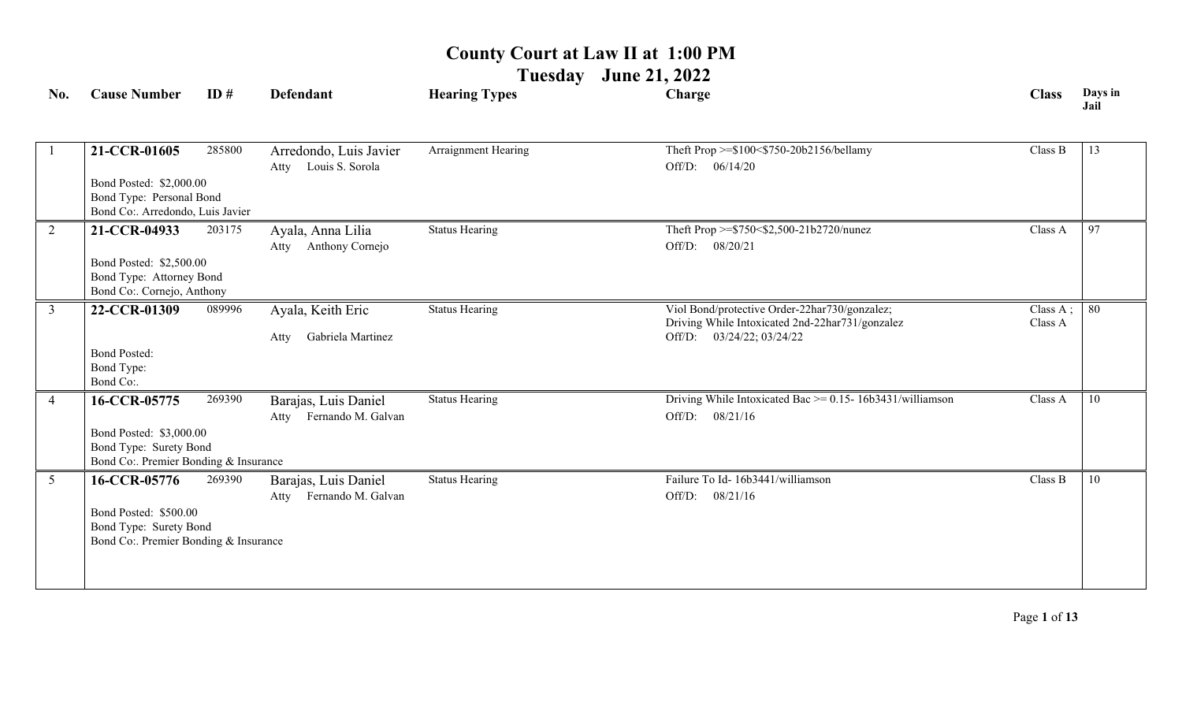**Tuesday June 21, 2022**

| No.            | <b>Cause Number</b>                                                                       | ID#    | <b>Defendant</b>                                   | <b>Hearing Types</b>  | Charge                                                                                                                        | <b>Class</b>        | Days in<br>Jail |
|----------------|-------------------------------------------------------------------------------------------|--------|----------------------------------------------------|-----------------------|-------------------------------------------------------------------------------------------------------------------------------|---------------------|-----------------|
|                | 21-CCR-01605                                                                              | 285800 | Arredondo, Luis Javier<br>Louis S. Sorola<br>Atty  | Arraignment Hearing   | Theft Prop >=\$100<\$750-20b2156/bellamy<br>Off/D: 06/14/20                                                                   | Class B             | 13              |
|                | Bond Posted: \$2,000.00<br>Bond Type: Personal Bond<br>Bond Co:. Arredondo, Luis Javier   |        |                                                    |                       |                                                                                                                               |                     |                 |
| 2              | 21-CCR-04933                                                                              | 203175 | Ayala, Anna Lilia<br>Atty Anthony Cornejo          | <b>Status Hearing</b> | Theft Prop >=\$750<\$2,500-21b2720/nunez<br>Off/D: 08/20/21                                                                   | Class A             | 97              |
|                | Bond Posted: \$2,500.00<br>Bond Type: Attorney Bond<br>Bond Co:. Cornejo, Anthony         |        |                                                    |                       |                                                                                                                               |                     |                 |
| $\overline{3}$ | 22-CCR-01309                                                                              | 089996 | Ayala, Keith Eric<br>Gabriela Martinez<br>Atty     | <b>Status Hearing</b> | Viol Bond/protective Order-22har730/gonzalez;<br>Driving While Intoxicated 2nd-22har731/gonzalez<br>Off/D: 03/24/22; 03/24/22 | Class A;<br>Class A | -80             |
|                | <b>Bond Posted:</b><br>Bond Type:<br>Bond Co:.                                            |        |                                                    |                       |                                                                                                                               |                     |                 |
| $\overline{4}$ | 16-CCR-05775                                                                              | 269390 | Barajas, Luis Daniel<br>Fernando M. Galvan<br>Atty | <b>Status Hearing</b> | Driving While Intoxicated Bac $\ge$ = 0.15- 16b3431/williamson<br>Off/D:<br>08/21/16                                          | Class A             | 10              |
|                | Bond Posted: \$3,000.00<br>Bond Type: Surety Bond<br>Bond Co: Premier Bonding & Insurance |        |                                                    |                       |                                                                                                                               |                     |                 |
| $\overline{5}$ | 16-CCR-05776                                                                              | 269390 | Barajas, Luis Daniel<br>Fernando M. Galvan<br>Atty | <b>Status Hearing</b> | Failure To Id- 16b3441/williamson<br>Off/D:<br>08/21/16                                                                       | Class B             | 10              |
|                | Bond Posted: \$500.00<br>Bond Type: Surety Bond<br>Bond Co: Premier Bonding & Insurance   |        |                                                    |                       |                                                                                                                               |                     |                 |
|                |                                                                                           |        |                                                    |                       |                                                                                                                               |                     |                 |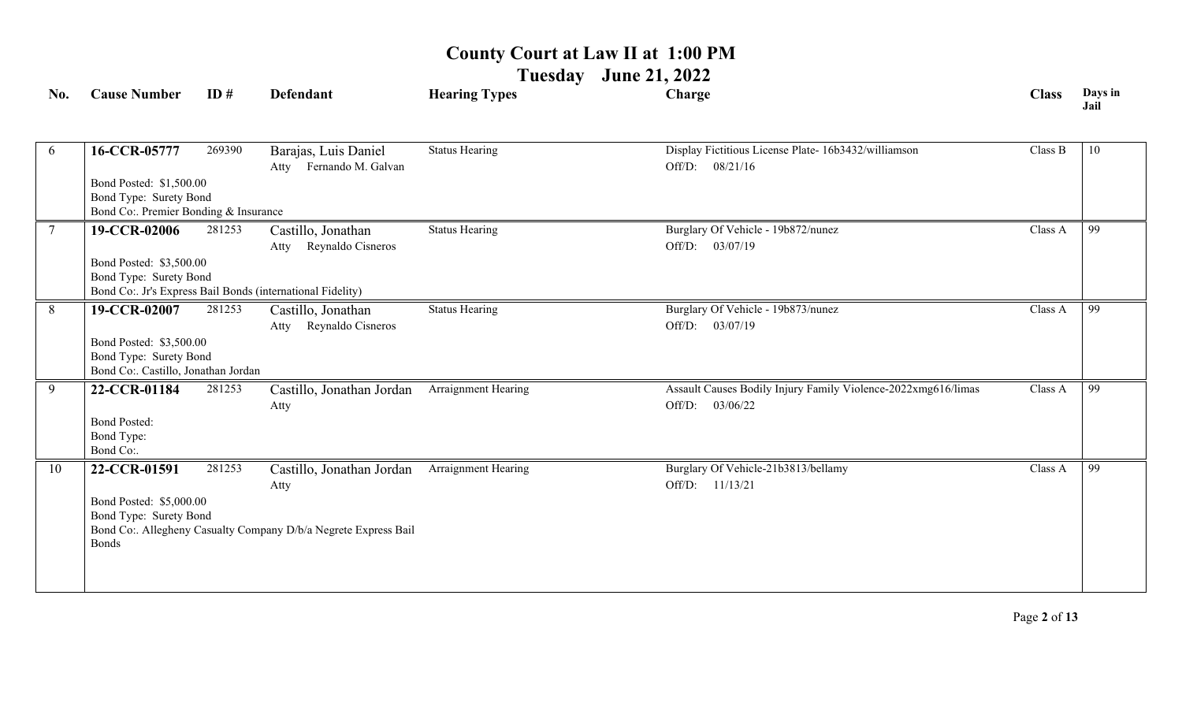**Tuesday June 21, 2022**

| No. | <b>Cause Number</b>                                                                        | ID#    | <b>Defendant</b>                                                                                     | <b>Hearing Types</b>  | Charge                                                                              | <b>Class</b> | Days in<br>Jail |
|-----|--------------------------------------------------------------------------------------------|--------|------------------------------------------------------------------------------------------------------|-----------------------|-------------------------------------------------------------------------------------|--------------|-----------------|
| 6   | 16-CCR-05777                                                                               | 269390 | Barajas, Luis Daniel<br>Fernando M. Galvan<br>Atty                                                   | <b>Status Hearing</b> | Display Fictitious License Plate- 16b3432/williamson<br>Off/D: 08/21/16             | Class B      | 10              |
|     | Bond Posted: \$1,500.00<br>Bond Type: Surety Bond<br>Bond Co:. Premier Bonding & Insurance |        |                                                                                                      |                       |                                                                                     |              |                 |
|     | 19-CCR-02006                                                                               | 281253 | Castillo, Jonathan                                                                                   | <b>Status Hearing</b> | Burglary Of Vehicle - 19b872/nunez                                                  | Class A      | 99              |
|     | Bond Posted: \$3,500.00<br>Bond Type: Surety Bond                                          |        | Reynaldo Cisneros<br>Atty<br>Bond Co: Jr's Express Bail Bonds (international Fidelity)               |                       | Off/D: 03/07/19                                                                     |              |                 |
| 8   | 19-CCR-02007                                                                               | 281253 | Castillo, Jonathan<br>Reynaldo Cisneros<br>Atty                                                      | <b>Status Hearing</b> | Burglary Of Vehicle - 19b873/nunez<br>Off/D: 03/07/19                               | Class A      | 99              |
|     | Bond Posted: \$3,500.00<br>Bond Type: Surety Bond<br>Bond Co:. Castillo, Jonathan Jordan   |        |                                                                                                      |                       |                                                                                     |              |                 |
| 9   | 22-CCR-01184<br><b>Bond Posted:</b><br>Bond Type:                                          | 281253 | Castillo, Jonathan Jordan<br>Atty                                                                    | Arraignment Hearing   | Assault Causes Bodily Injury Family Violence-2022xmg616/limas<br>03/06/22<br>Off/D: | Class A      | 99              |
|     | Bond Co:.                                                                                  |        |                                                                                                      |                       |                                                                                     |              |                 |
| 10  | 22-CCR-01591<br>Bond Posted: \$5,000.00<br>Bond Type: Surety Bond<br><b>Bonds</b>          | 281253 | Castillo, Jonathan Jordan<br>Atty<br>Bond Co:. Allegheny Casualty Company D/b/a Negrete Express Bail | Arraignment Hearing   | Burglary Of Vehicle-21b3813/bellamy<br>Off/D: 11/13/21                              | Class A      | 99              |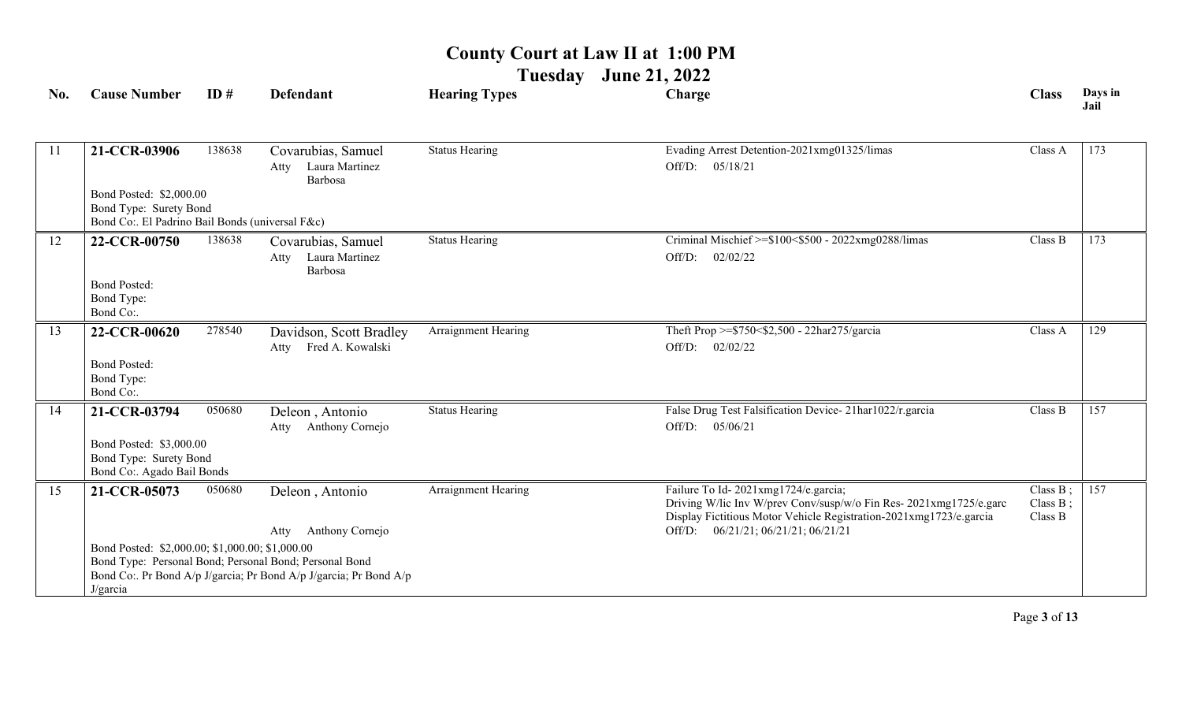**Tuesday June 21, 2022**

| No. | <b>Cause Number</b>                                                                                  | ID#    | <b>Defendant</b>                                                                                                                                                          | <b>Hearing Types</b>  | Charge                                                                                                                                                                                                                 | <b>Class</b>                          | Days in<br>Jail |
|-----|------------------------------------------------------------------------------------------------------|--------|---------------------------------------------------------------------------------------------------------------------------------------------------------------------------|-----------------------|------------------------------------------------------------------------------------------------------------------------------------------------------------------------------------------------------------------------|---------------------------------------|-----------------|
| 11  | 21-CCR-03906                                                                                         | 138638 | Covarubias, Samuel<br>Laura Martinez<br>Atty<br>Barbosa                                                                                                                   | <b>Status Hearing</b> | Evading Arrest Detention-2021xmg01325/limas<br>Off/D: 05/18/21                                                                                                                                                         | Class A                               | 173             |
|     | Bond Posted: \$2,000.00<br>Bond Type: Surety Bond<br>Bond Co:. El Padrino Bail Bonds (universal F&c) |        |                                                                                                                                                                           |                       |                                                                                                                                                                                                                        |                                       |                 |
| 12  | 22-CCR-00750<br><b>Bond Posted:</b><br>Bond Type:<br>Bond Co:.                                       | 138638 | Covarubias, Samuel<br>Laura Martinez<br>Atty<br>Barbosa                                                                                                                   | <b>Status Hearing</b> | Criminal Mischief >=\$100<\$500 - 2022xmg0288/limas<br>Off/D:<br>02/02/22                                                                                                                                              | Class B                               | 173             |
| 13  | 22-CCR-00620<br><b>Bond Posted:</b><br>Bond Type:<br>Bond Co:.                                       | 278540 | Davidson, Scott Bradley<br>Fred A. Kowalski<br>Atty                                                                                                                       | Arraignment Hearing   | Theft Prop >=\$750<\$2,500 - 22har275/garcia<br>Off/D:<br>02/02/22                                                                                                                                                     | Class A                               | 129             |
| 14  | 21-CCR-03794<br>Bond Posted: \$3,000.00<br>Bond Type: Surety Bond<br>Bond Co:. Agado Bail Bonds      | 050680 | Deleon, Antonio<br>Anthony Cornejo<br>Atty                                                                                                                                | <b>Status Hearing</b> | False Drug Test Falsification Device-21har1022/r.garcia<br>05/06/21<br>Off/D:                                                                                                                                          | Class B                               | 157             |
| 15  | 21-CCR-05073<br>Bond Posted: \$2,000.00; \$1,000.00; \$1,000.00<br>J/garcia                          | 050680 | Deleon, Antonio<br>Anthony Cornejo<br>Atty<br>Bond Type: Personal Bond; Personal Bond; Personal Bond<br>Bond Co:. Pr Bond A/p J/garcia; Pr Bond A/p J/garcia; Pr Bond A/p | Arraignment Hearing   | Failure To Id-2021xmg1724/e.garcia;<br>Driving W/lic Inv W/prev Conv/susp/w/o Fin Res- 2021xmg1725/e.garc<br>Display Fictitious Motor Vehicle Registration-2021xmg1723/e.garcia<br>Off/D: 06/21/21; 06/21/21; 06/21/21 | Class $B$ ;<br>Class $B$ ;<br>Class B | 157             |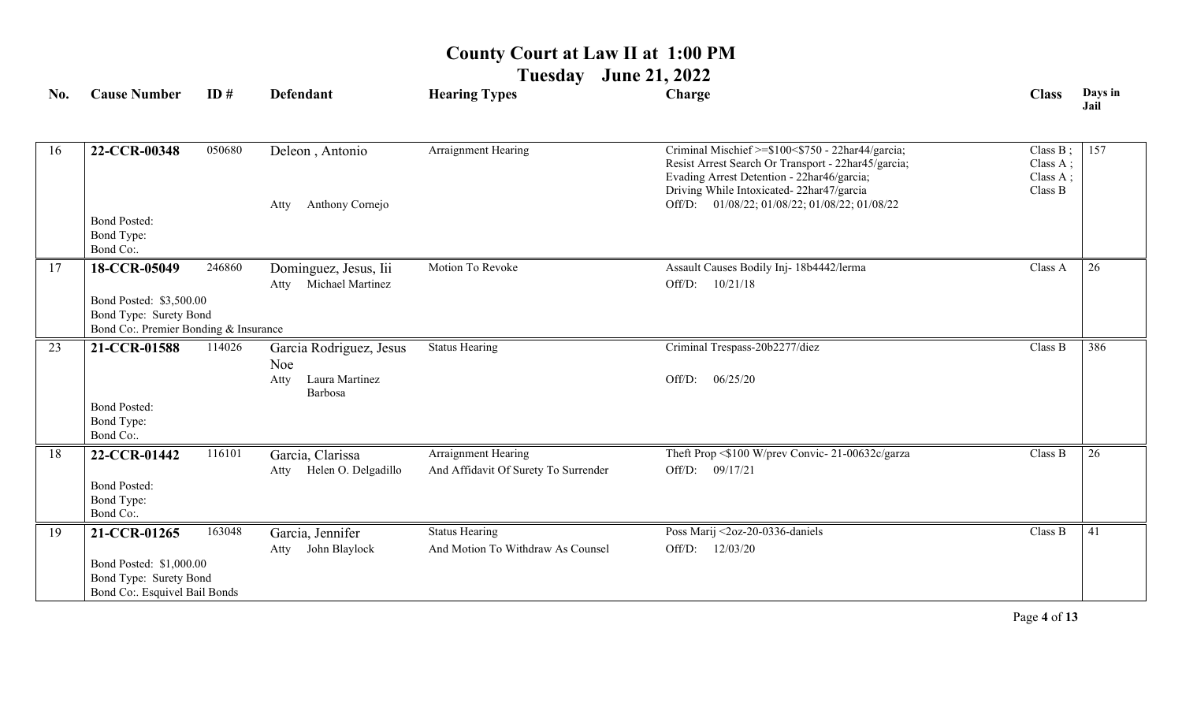**Tuesday June 21, 2022**

| No. | <b>Cause Number</b>                                                                       | ID#    | <b>Defendant</b>                                  | <b>Hearing Types</b>                                        | Charge                                                                                                                                                                                             | <b>Class</b>                                   | Days in<br>Jail |
|-----|-------------------------------------------------------------------------------------------|--------|---------------------------------------------------|-------------------------------------------------------------|----------------------------------------------------------------------------------------------------------------------------------------------------------------------------------------------------|------------------------------------------------|-----------------|
| 16  | 22-CCR-00348                                                                              | 050680 | Deleon, Antonio                                   | Arraignment Hearing                                         | Criminal Mischief >=\$100<\$750 - 22har44/garcia;<br>Resist Arrest Search Or Transport - 22har45/garcia;<br>Evading Arrest Detention - 22har46/garcia;<br>Driving While Intoxicated-22har47/garcia | Class $B$ ;<br>Class A;<br>Class A;<br>Class B | 157             |
|     |                                                                                           |        | Anthony Cornejo<br>Atty                           |                                                             | Off/D: 01/08/22; 01/08/22; 01/08/22; 01/08/22                                                                                                                                                      |                                                |                 |
|     | <b>Bond Posted:</b><br>Bond Type:<br>Bond Co:.                                            |        |                                                   |                                                             |                                                                                                                                                                                                    |                                                |                 |
| 17  | 18-CCR-05049                                                                              | 246860 | Dominguez, Jesus, Iii<br>Michael Martinez<br>Atty | Motion To Revoke                                            | Assault Causes Bodily Inj- 18b4442/lerma<br>Off/D:<br>10/21/18                                                                                                                                     | Class A                                        | 26              |
|     | Bond Posted: \$3,500.00<br>Bond Type: Surety Bond<br>Bond Co: Premier Bonding & Insurance |        |                                                   |                                                             |                                                                                                                                                                                                    |                                                |                 |
| 23  | 21-CCR-01588                                                                              | 114026 | Garcia Rodriguez, Jesus<br>Noe                    | <b>Status Hearing</b>                                       | Criminal Trespass-20b2277/diez                                                                                                                                                                     | Class B                                        | 386             |
|     |                                                                                           |        | Laura Martinez<br>Atty<br>Barbosa                 |                                                             | 06/25/20<br>Off/D:                                                                                                                                                                                 |                                                |                 |
|     | <b>Bond Posted:</b><br>Bond Type:<br>Bond Co:.                                            |        |                                                   |                                                             |                                                                                                                                                                                                    |                                                |                 |
| 18  | 22-CCR-01442                                                                              | 116101 | Garcia, Clarissa<br>Helen O. Delgadillo<br>Atty   | Arraignment Hearing<br>And Affidavit Of Surety To Surrender | Theft Prop <\$100 W/prev Convic-21-00632c/garza<br>Off/D:<br>09/17/21                                                                                                                              | Class B                                        | 26              |
|     | <b>Bond Posted:</b><br>Bond Type:<br>Bond Co:.                                            |        |                                                   |                                                             |                                                                                                                                                                                                    |                                                |                 |
| 19  | 21-CCR-01265                                                                              | 163048 | Garcia, Jennifer                                  | <b>Status Hearing</b>                                       | Poss Marij <2oz-20-0336-daniels                                                                                                                                                                    | Class B                                        | 41              |
|     | Bond Posted: \$1,000.00<br>Bond Type: Surety Bond<br>Bond Co:. Esquivel Bail Bonds        |        | John Blaylock<br>Atty                             | And Motion To Withdraw As Counsel                           | Off/D:<br>12/03/20                                                                                                                                                                                 |                                                |                 |

Page **4** of **13**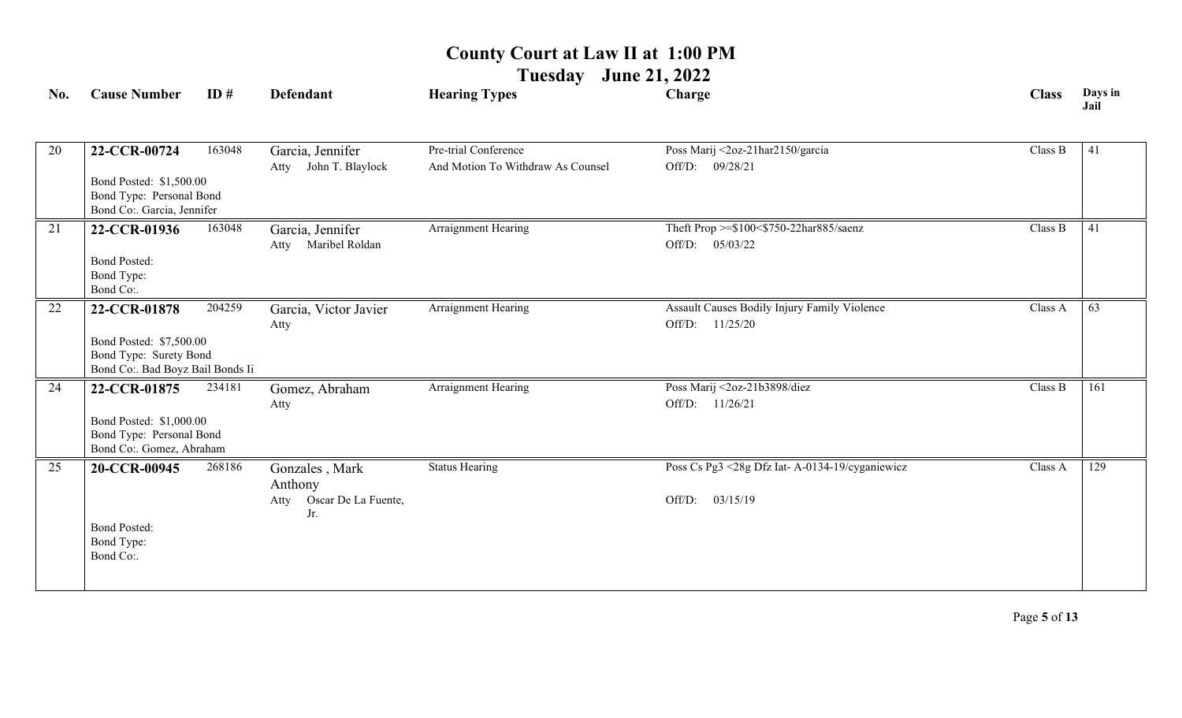**Tuesday June 21, 2022**

| No. | <b>Cause Number</b>                                                                                   | ID#    | <b>Defendant</b>                                                | <b>Hearing Types</b>                                      | Charge                                                                | <b>Class</b> | Days in<br>Jail |
|-----|-------------------------------------------------------------------------------------------------------|--------|-----------------------------------------------------------------|-----------------------------------------------------------|-----------------------------------------------------------------------|--------------|-----------------|
| 20  | 22-CCR-00724<br>Bond Posted: \$1,500.00<br>Bond Type: Personal Bond<br>Bond Co:. Garcia, Jennifer     | 163048 | Garcia, Jennifer<br>John T. Blaylock<br>Atty                    | Pre-trial Conference<br>And Motion To Withdraw As Counsel | Poss Marij <2oz-21har2150/garcia<br>Off/D:<br>09/28/21                | Class B      | 41              |
| 21  | 22-CCR-01936<br><b>Bond Posted:</b><br>Bond Type:<br>Bond Co:.                                        | 163048 | Garcia, Jennifer<br>Atty Maribel Roldan                         | Arraignment Hearing                                       | Theft Prop >=\$100<\$750-22har885/saenz<br>Off/D: $05/03/22$          | Class B      | 41              |
| 22  | 22-CCR-01878<br>Bond Posted: \$7,500.00<br>Bond Type: Surety Bond<br>Bond Co:. Bad Boyz Bail Bonds Ii | 204259 | Garcia, Victor Javier<br>Atty                                   | Arraignment Hearing                                       | Assault Causes Bodily Injury Family Violence<br>Off/D:<br>11/25/20    | Class A      | 63              |
| 24  | 22-CCR-01875<br>Bond Posted: \$1,000.00<br>Bond Type: Personal Bond<br>Bond Co:. Gomez, Abraham       | 234181 | Gomez, Abraham<br>Atty                                          | Arraignment Hearing                                       | Poss Marij <2oz-21b3898/diez<br>Off/D: 11/26/21                       | Class B      | 161             |
| 25  | 20-CCR-00945<br><b>Bond Posted:</b><br>Bond Type:<br>Bond Co:.                                        | 268186 | Gonzales, Mark<br>Anthony<br>Oscar De La Fuente,<br>Atty<br>Jr. | <b>Status Hearing</b>                                     | Poss Cs Pg3 <28g Dfz Iat- A-0134-19/cyganiewicz<br>03/15/19<br>Off/D: | Class A      | 129             |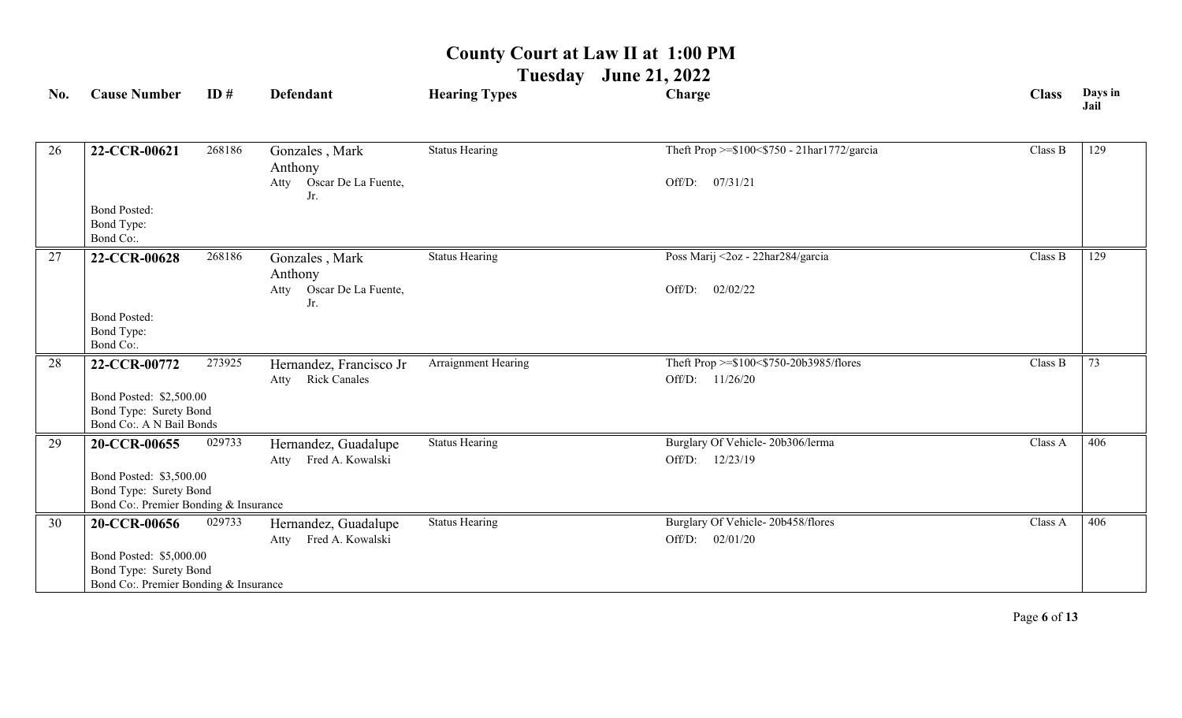**Tuesday June 21, 2022**

| No. | <b>Cause Number</b>                                             | ID#    | <b>Defendant</b>                   | <b>Hearing Types</b>  | Charge                                      | <b>Class</b> | Days in<br>Jail |
|-----|-----------------------------------------------------------------|--------|------------------------------------|-----------------------|---------------------------------------------|--------------|-----------------|
| 26  | 22-CCR-00621                                                    | 268186 | Gonzales, Mark                     | <b>Status Hearing</b> | Theft Prop >=\$100<\$750 - 21har1772/garcia | Class B      | 129             |
|     |                                                                 |        | Anthony                            |                       |                                             |              |                 |
|     |                                                                 |        | Oscar De La Fuente,<br>Atty<br>Jr. |                       | 07/31/21<br>Off/D:                          |              |                 |
|     | <b>Bond Posted:</b><br>Bond Type:<br>Bond Co:.                  |        |                                    |                       |                                             |              |                 |
| 27  | 22-CCR-00628                                                    | 268186 | Gonzales, Mark<br>Anthony          | <b>Status Hearing</b> | Poss Marij <2oz - 22har284/garcia           | Class B      | 129             |
|     |                                                                 |        | Oscar De La Fuente,<br>Atty<br>Jr. |                       | 02/02/22<br>Off/D:                          |              |                 |
|     | <b>Bond Posted:</b>                                             |        |                                    |                       |                                             |              |                 |
|     | Bond Type:<br>Bond Co:.                                         |        |                                    |                       |                                             |              |                 |
| 28  | 22-CCR-00772                                                    | 273925 | Hernandez, Francisco Jr            | Arraignment Hearing   | Theft Prop >=\$100<\$750-20b3985/flores     | Class B      | 73              |
|     |                                                                 |        | <b>Rick Canales</b><br>Atty        |                       | Off/D: 11/26/20                             |              |                 |
|     | Bond Posted: \$2,500.00                                         |        |                                    |                       |                                             |              |                 |
|     | Bond Type: Surety Bond<br>Bond Co:. A N Bail Bonds              |        |                                    |                       |                                             |              |                 |
| 29  | 20-CCR-00655                                                    | 029733 | Hernandez, Guadalupe               | <b>Status Hearing</b> | Burglary Of Vehicle-20b306/lerma            | Class A      | 406             |
|     |                                                                 |        | Atty Fred A. Kowalski              |                       | Off/D: 12/23/19                             |              |                 |
|     | Bond Posted: \$3,500.00                                         |        |                                    |                       |                                             |              |                 |
|     | Bond Type: Surety Bond<br>Bond Co:. Premier Bonding & Insurance |        |                                    |                       |                                             |              |                 |
| 30  | 20-CCR-00656                                                    | 029733 | Hernandez, Guadalupe               | <b>Status Hearing</b> | Burglary Of Vehicle-20b458/flores           | Class A      | 406             |
|     |                                                                 |        | Fred A. Kowalski<br>Atty           |                       | 02/01/20<br>Off/D:                          |              |                 |
|     | Bond Posted: \$5,000.00                                         |        |                                    |                       |                                             |              |                 |
|     | Bond Type: Surety Bond<br>Bond Co:. Premier Bonding & Insurance |        |                                    |                       |                                             |              |                 |
|     |                                                                 |        |                                    |                       |                                             |              |                 |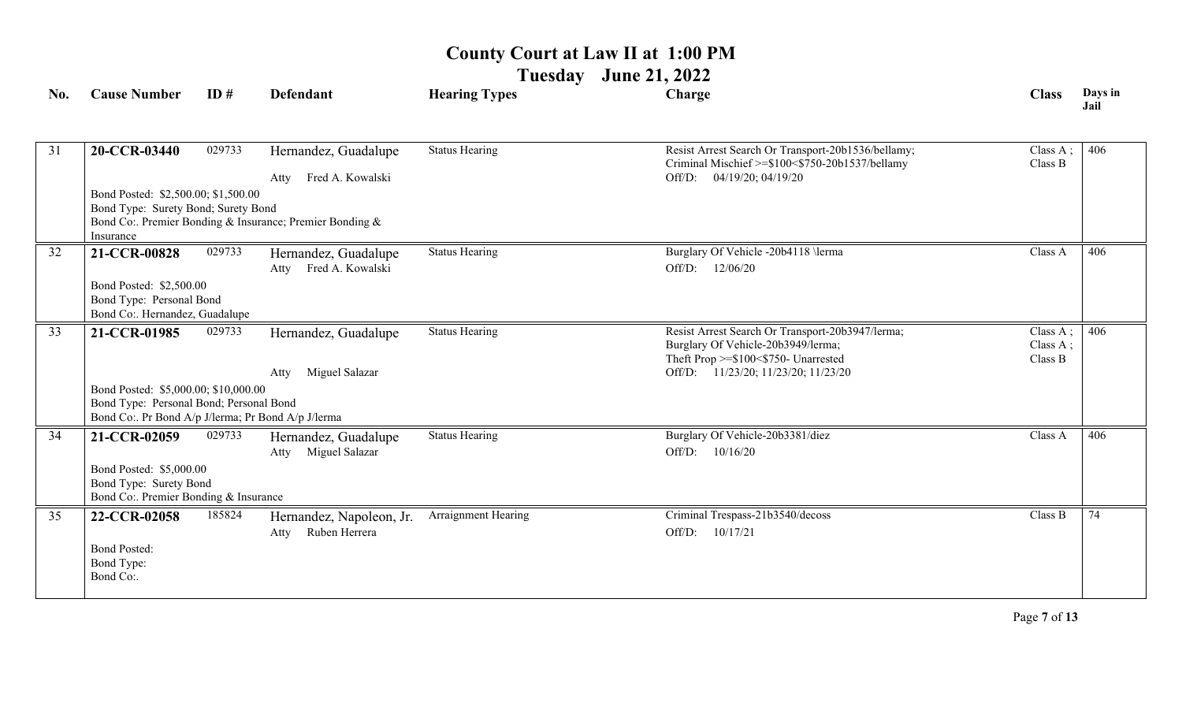**Tuesday June 21, 2022**

| No. | <b>Cause Number</b>                                                                                                                   | ID#    | <b>Defendant</b>                                         | <b>Hearing Types</b>  | Charge                                                                                                                                                                | <b>Class</b>                       | Days in<br>Jail |
|-----|---------------------------------------------------------------------------------------------------------------------------------------|--------|----------------------------------------------------------|-----------------------|-----------------------------------------------------------------------------------------------------------------------------------------------------------------------|------------------------------------|-----------------|
| 31  | 20-CCR-03440                                                                                                                          | 029733 | Hernandez, Guadalupe<br>Fred A. Kowalski<br>Atty         | <b>Status Hearing</b> | Resist Arrest Search Or Transport-20b1536/bellamy;<br>Criminal Mischief >=\$100<\$750-20b1537/bellamy<br>04/19/20; 04/19/20<br>Off/D:                                 | Class A;<br>Class B                | 406             |
|     | Bond Posted: \$2,500.00; \$1,500.00<br>Bond Type: Surety Bond; Surety Bond<br>Insurance                                               |        | Bond Co:. Premier Bonding & Insurance; Premier Bonding & |                       |                                                                                                                                                                       |                                    |                 |
| 32  | 21-CCR-00828                                                                                                                          | 029733 | Hernandez, Guadalupe<br>Fred A. Kowalski<br>Atty         | <b>Status Hearing</b> | Burglary Of Vehicle -20b4118 \lerma<br>12/06/20<br>Off/D:                                                                                                             | Class A                            | 406             |
|     | Bond Posted: \$2,500.00<br>Bond Type: Personal Bond<br>Bond Co:. Hernandez, Guadalupe                                                 |        |                                                          |                       |                                                                                                                                                                       |                                    |                 |
| 33  | 21-CCR-01985                                                                                                                          | 029733 | Hernandez, Guadalupe<br>Miguel Salazar<br>Atty           | <b>Status Hearing</b> | Resist Arrest Search Or Transport-20b3947/lerma;<br>Burglary Of Vehicle-20b3949/lerma;<br>Theft Prop >=\$100<\$750- Unarrested<br>Off/D: 11/23/20; 11/23/20; 11/23/20 | Class $A$ ;<br>Class A;<br>Class B | 406             |
|     | Bond Posted: \$5,000.00; \$10,000.00<br>Bond Type: Personal Bond; Personal Bond<br>Bond Co:. Pr Bond A/p J/lerma; Pr Bond A/p J/lerma |        |                                                          |                       |                                                                                                                                                                       |                                    |                 |
| 34  | 21-CCR-02059<br>Bond Posted: \$5,000.00                                                                                               | 029733 | Hernandez, Guadalupe<br>Miguel Salazar<br>Atty           | <b>Status Hearing</b> | Burglary Of Vehicle-20b3381/diez<br>Off/D: 10/16/20                                                                                                                   | Class A                            | 406             |
|     | Bond Type: Surety Bond<br>Bond Co:. Premier Bonding & Insurance                                                                       |        |                                                          |                       |                                                                                                                                                                       |                                    |                 |
| 35  | 22-CCR-02058                                                                                                                          | 185824 | Hernandez, Napoleon, Jr.<br>Ruben Herrera<br>Atty        | Arraignment Hearing   | Criminal Trespass-21b3540/decoss<br>Off/D: 10/17/21                                                                                                                   | Class B                            | 74              |
|     | <b>Bond Posted:</b><br>Bond Type:<br>Bond Co:.                                                                                        |        |                                                          |                       |                                                                                                                                                                       |                                    |                 |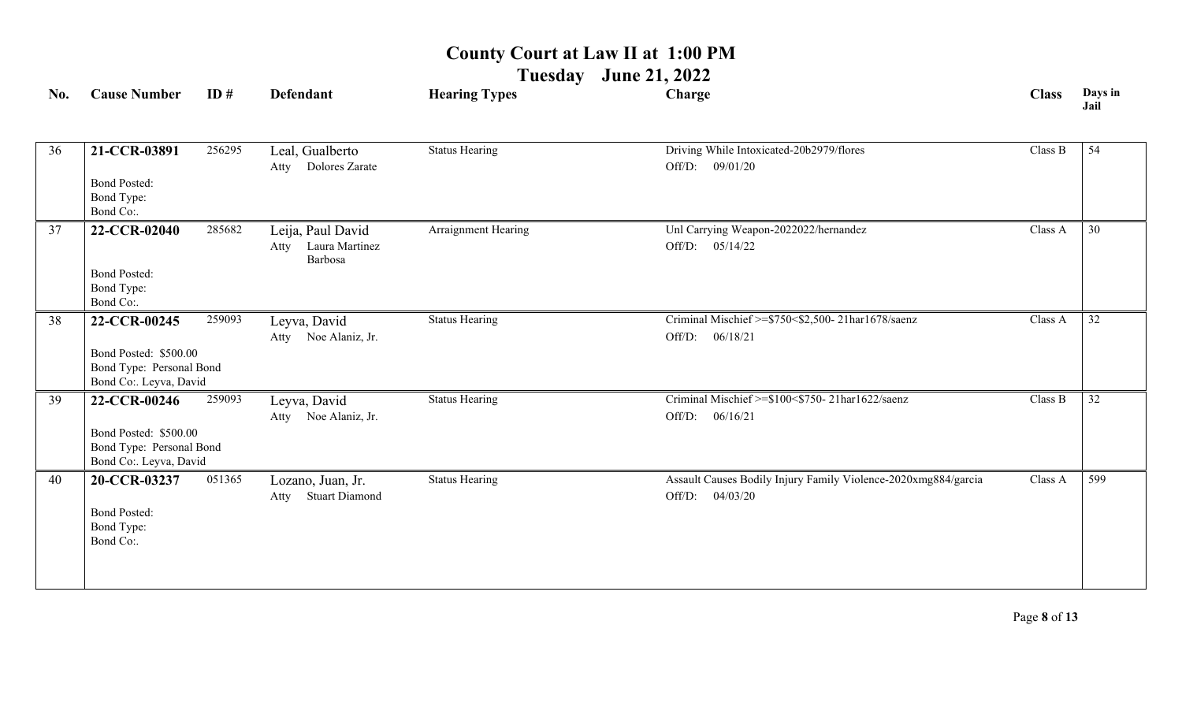**Tuesday June 21, 2022**

| No. | <b>Cause Number</b>                                                                         | ID#    | <b>Defendant</b>                                       | <b>Hearing Types</b>  | Charge                                                                               | <b>Class</b> | Days in<br>Jail |
|-----|---------------------------------------------------------------------------------------------|--------|--------------------------------------------------------|-----------------------|--------------------------------------------------------------------------------------|--------------|-----------------|
| 36  | 21-CCR-03891<br><b>Bond Posted:</b><br>Bond Type:                                           | 256295 | Leal, Gualberto<br>Dolores Zarate<br>Atty              | <b>Status Hearing</b> | Driving While Intoxicated-20b2979/flores<br>Off/D: 09/01/20                          | Class B      | 54              |
| 37  | Bond Co:.<br>22-CCR-02040<br><b>Bond Posted:</b><br>Bond Type:<br>Bond Co:.                 | 285682 | Leija, Paul David<br>Laura Martinez<br>Atty<br>Barbosa | Arraignment Hearing   | Unl Carrying Weapon-2022022/hernandez<br>Off/D: 05/14/22                             | Class A      | 30              |
| 38  | 22-CCR-00245<br>Bond Posted: \$500.00<br>Bond Type: Personal Bond<br>Bond Co:. Leyva, David | 259093 | Leyva, David<br>Atty Noe Alaniz, Jr.                   | <b>Status Hearing</b> | Criminal Mischief >=\$750<\$2,500-21har1678/saenz<br>06/18/21<br>Off/D:              | Class A      | $\overline{32}$ |
| 39  | 22-CCR-00246<br>Bond Posted: \$500.00<br>Bond Type: Personal Bond<br>Bond Co:. Leyva, David | 259093 | Leyva, David<br>Atty Noe Alaniz, Jr.                   | <b>Status Hearing</b> | Criminal Mischief >=\$100<\$750-21har1622/saenz<br>06/16/21<br>Off/D:                | Class B      | $\overline{32}$ |
| 40  | 20-CCR-03237<br><b>Bond Posted:</b><br>Bond Type:<br>Bond Co:.                              | 051365 | Lozano, Juan, Jr.<br><b>Stuart Diamond</b><br>Atty     | <b>Status Hearing</b> | Assault Causes Bodily Injury Family Violence-2020xmg884/garcia<br>Off/D:<br>04/03/20 | Class A      | 599             |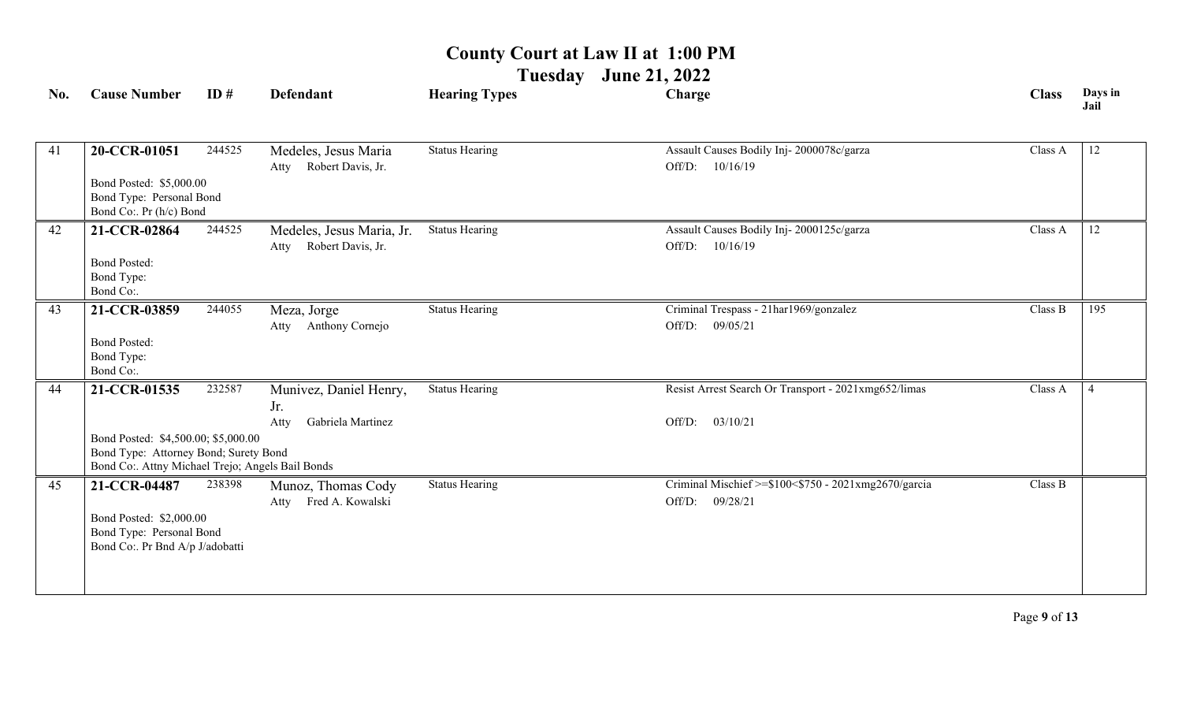**Tuesday June 21, 2022**

| No. | <b>Cause Number</b>                                                                                                              | ID#    | <b>Defendant</b>                               | <b>Hearing Types</b>  | Charge                                                         | <b>Class</b> | Days in<br>Jail |
|-----|----------------------------------------------------------------------------------------------------------------------------------|--------|------------------------------------------------|-----------------------|----------------------------------------------------------------|--------------|-----------------|
| 41  | 20-CCR-01051                                                                                                                     | 244525 | Medeles, Jesus Maria<br>Atty Robert Davis, Jr. | <b>Status Hearing</b> | Assault Causes Bodily Inj-2000078c/garza<br>10/16/19<br>Off/D: | Class A      | 12              |
|     | Bond Posted: \$5,000.00<br>Bond Type: Personal Bond<br>Bond Co:. Pr (h/c) Bond                                                   |        |                                                |                       |                                                                |              |                 |
| 42  | 21-CCR-02864                                                                                                                     | 244525 | Medeles, Jesus Maria, Jr.                      | <b>Status Hearing</b> | Assault Causes Bodily Inj-2000125c/garza                       | Class A      | 12              |
|     | <b>Bond Posted:</b><br>Bond Type:<br>Bond Co:.                                                                                   |        | Robert Davis, Jr.<br>Atty                      |                       | Off/D:<br>10/16/19                                             |              |                 |
| 43  | 21-CCR-03859                                                                                                                     | 244055 | Meza, Jorge                                    | <b>Status Hearing</b> | Criminal Trespass - 21har1969/gonzalez                         | Class B      | 195             |
|     | <b>Bond Posted:</b><br>Bond Type:<br>Bond Co:.                                                                                   |        | Anthony Cornejo<br>Atty                        |                       | Off/D:<br>09/05/21                                             |              |                 |
| 44  | 21-CCR-01535                                                                                                                     | 232587 | Munivez, Daniel Henry,<br>Jr.                  | <b>Status Hearing</b> | Resist Arrest Search Or Transport - 2021xmg652/limas           | Class A      |                 |
|     |                                                                                                                                  |        | Gabriela Martinez<br>Atty                      |                       | 03/10/21<br>Off/D:                                             |              |                 |
|     | Bond Posted: \$4,500.00; \$5,000.00<br>Bond Type: Attorney Bond; Surety Bond<br>Bond Co:. Attny Michael Trejo; Angels Bail Bonds |        |                                                |                       |                                                                |              |                 |
| 45  | 21-CCR-04487                                                                                                                     | 238398 | Munoz, Thomas Cody                             | <b>Status Hearing</b> | Criminal Mischief >=\$100<\$750 - 2021xmg2670/garcia           | Class B      |                 |
|     | Bond Posted: \$2,000.00<br>Bond Type: Personal Bond<br>Bond Co:. Pr Bnd A/p J/adobatti                                           |        | Atty Fred A. Kowalski                          |                       | Off/D:<br>09/28/21                                             |              |                 |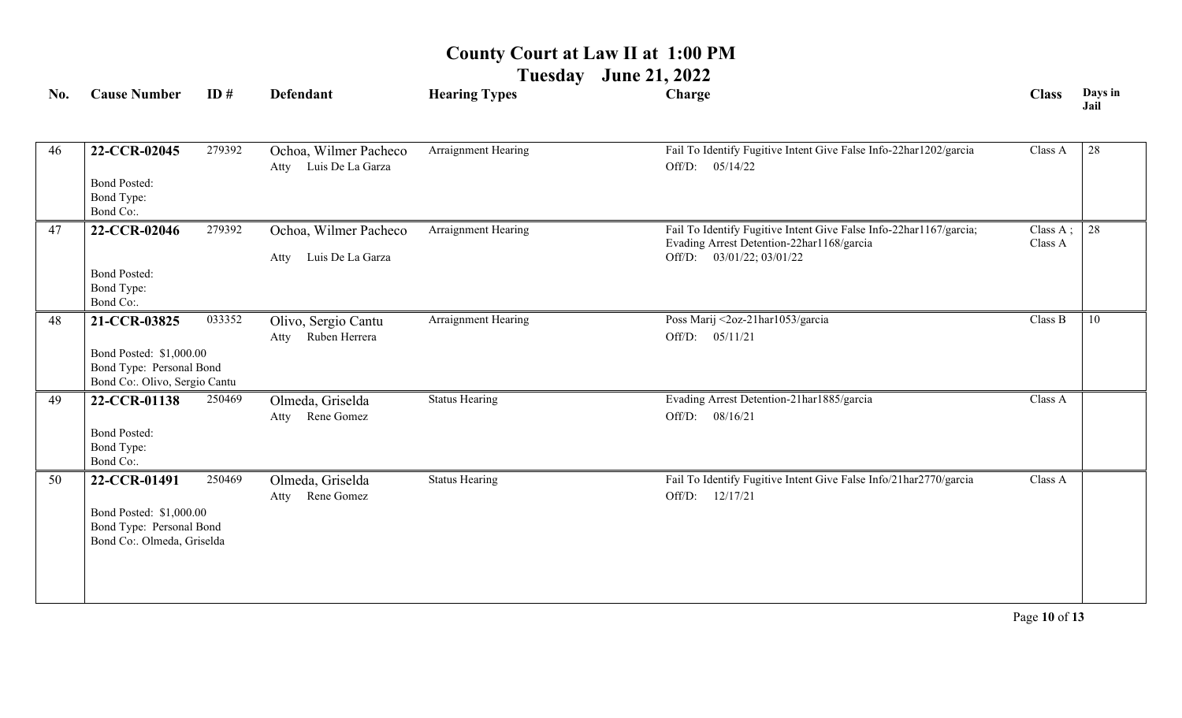**Tuesday June 21, 2022**

| No. | <b>Cause Number</b>                                                                 | ID#    | Defendant                                         | <b>Hearing Types</b>  | Charge                                                                                                                                       | <b>Class</b>                   | Days in<br>Jail |
|-----|-------------------------------------------------------------------------------------|--------|---------------------------------------------------|-----------------------|----------------------------------------------------------------------------------------------------------------------------------------------|--------------------------------|-----------------|
| 46  | 22-CCR-02045<br><b>Bond Posted:</b><br>Bond Type:                                   | 279392 | Ochoa, Wilmer Pacheco<br>Luis De La Garza<br>Atty | Arraignment Hearing   | Fail To Identify Fugitive Intent Give False Info-22har1202/garcia<br>Off/D: 05/14/22                                                         | Class A                        | 28              |
|     | Bond Co:.                                                                           |        |                                                   |                       |                                                                                                                                              |                                |                 |
| 47  | 22-CCR-02046                                                                        | 279392 | Ochoa, Wilmer Pacheco<br>Luis De La Garza<br>Atty | Arraignment Hearing   | Fail To Identify Fugitive Intent Give False Info-22har1167/garcia;<br>Evading Arrest Detention-22har1168/garcia<br>Off/D: 03/01/22; 03/01/22 | Class $A$ ; $\vert$<br>Class A | 28              |
|     | <b>Bond Posted:</b><br>Bond Type:<br>Bond Co:.                                      |        |                                                   |                       |                                                                                                                                              |                                |                 |
| 48  | 21-CCR-03825                                                                        | 033352 | Olivo, Sergio Cantu<br>Ruben Herrera<br>Atty      | Arraignment Hearing   | Poss Marij <2oz-21har1053/garcia<br>Off/D:<br>05/11/21                                                                                       | Class B                        | 10              |
|     | Bond Posted: \$1,000.00<br>Bond Type: Personal Bond<br>Bond Co: Olivo, Sergio Cantu |        |                                                   |                       |                                                                                                                                              |                                |                 |
| 49  | 22-CCR-01138                                                                        | 250469 | Olmeda, Griselda<br>Rene Gomez<br>Atty            | <b>Status Hearing</b> | Evading Arrest Detention-21har1885/garcia<br>Off/D: 08/16/21                                                                                 | Class A                        |                 |
|     | <b>Bond Posted:</b><br>Bond Type:<br>Bond Co:.                                      |        |                                                   |                       |                                                                                                                                              |                                |                 |
| 50  | 22-CCR-01491<br>Bond Posted: \$1,000.00                                             | 250469 | Olmeda, Griselda<br>Rene Gomez<br>Atty            | <b>Status Hearing</b> | Fail To Identify Fugitive Intent Give False Info/21har2770/garcia<br>Off/D:<br>12/17/21                                                      | Class A                        |                 |
|     | Bond Type: Personal Bond<br>Bond Co:. Olmeda, Griselda                              |        |                                                   |                       |                                                                                                                                              |                                |                 |
|     |                                                                                     |        |                                                   |                       |                                                                                                                                              |                                |                 |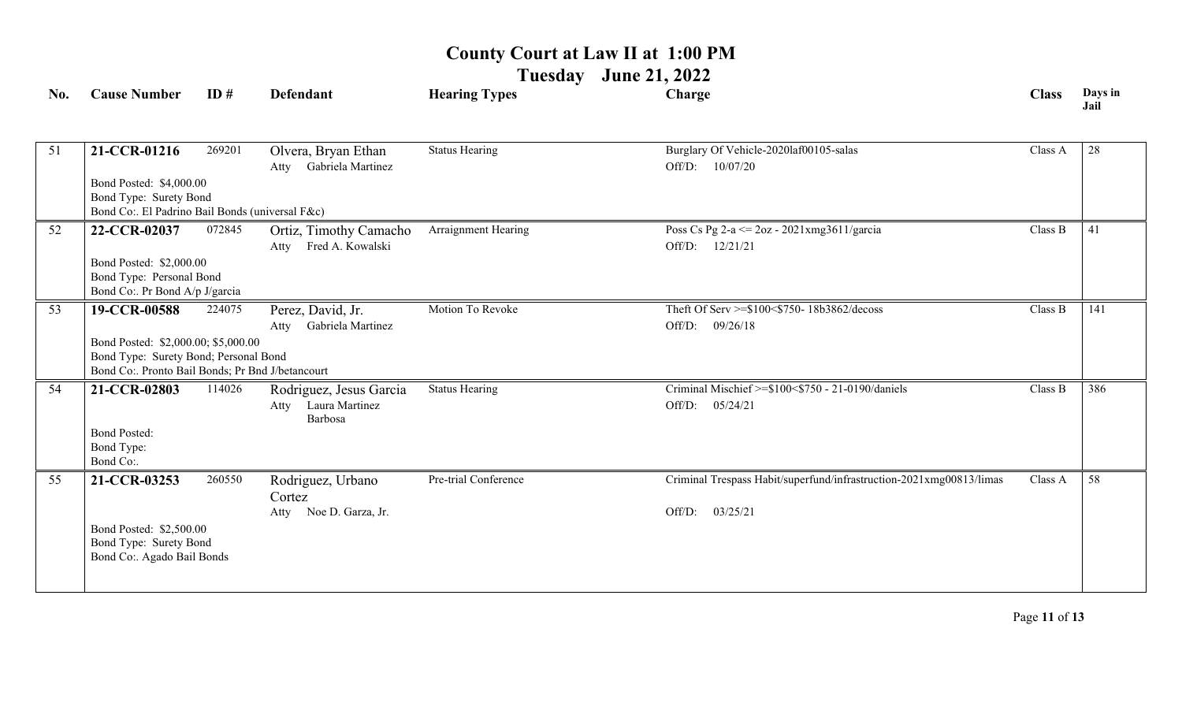**Tuesday June 21, 2022**

| No. | <b>Cause Number</b>                                                                                                              | ID#    | <b>Defendant</b>                                             | <b>Hearing Types</b>  | Charge                                                                                    | <b>Class</b> | Days in<br>Jail |
|-----|----------------------------------------------------------------------------------------------------------------------------------|--------|--------------------------------------------------------------|-----------------------|-------------------------------------------------------------------------------------------|--------------|-----------------|
| 51  | 21-CCR-01216                                                                                                                     | 269201 | Olvera, Bryan Ethan<br>Gabriela Martinez<br>Atty             | <b>Status Hearing</b> | Burglary Of Vehicle-2020laf00105-salas<br>Off/D: 10/07/20                                 | Class A      | 28              |
|     | Bond Posted: \$4,000.00<br>Bond Type: Surety Bond<br>Bond Co:. El Padrino Bail Bonds (universal F&c)                             |        |                                                              |                       |                                                                                           |              |                 |
| 52  | 22-CCR-02037                                                                                                                     | 072845 | Ortiz, Timothy Camacho<br>Fred A. Kowalski<br>Atty           | Arraignment Hearing   | Poss Cs Pg 2-a <= 2oz - 2021xmg3611/garcia<br>Off/D: 12/21/21                             | Class B      | 41              |
|     | Bond Posted: \$2,000.00<br>Bond Type: Personal Bond<br>Bond Co:. Pr Bond A/p J/garcia                                            |        |                                                              |                       |                                                                                           |              |                 |
| 53  | 19-CCR-00588                                                                                                                     | 224075 | Perez, David, Jr.<br>Gabriela Martinez<br>Atty               | Motion To Revoke      | Theft Of Serv >=\$100<\$750-18b3862/decoss<br>Off/D:<br>09/26/18                          | Class B      | 141             |
|     | Bond Posted: \$2,000.00; \$5,000.00<br>Bond Type: Surety Bond; Personal Bond<br>Bond Co:. Pronto Bail Bonds; Pr Bnd J/betancourt |        |                                                              |                       |                                                                                           |              |                 |
| 54  | 21-CCR-02803                                                                                                                     | 114026 | Rodriguez, Jesus Garcia<br>Laura Martinez<br>Atty<br>Barbosa | <b>Status Hearing</b> | Criminal Mischief >=\$100<\$750 - 21-0190/daniels<br>Off/D:<br>05/24/21                   | Class B      | 386             |
|     | <b>Bond Posted:</b><br>Bond Type:<br>Bond Co:.                                                                                   |        |                                                              |                       |                                                                                           |              |                 |
| 55  | 21-CCR-03253                                                                                                                     | 260550 | Rodriguez, Urbano<br>Cortez<br>Noe D. Garza, Jr.<br>Atty     | Pre-trial Conference  | Criminal Trespass Habit/superfund/infrastruction-2021xmg00813/limas<br>03/25/21<br>Off/D: | Class A      | 58              |
|     | Bond Posted: \$2,500.00<br>Bond Type: Surety Bond<br>Bond Co:. Agado Bail Bonds                                                  |        |                                                              |                       |                                                                                           |              |                 |
|     |                                                                                                                                  |        |                                                              |                       |                                                                                           |              |                 |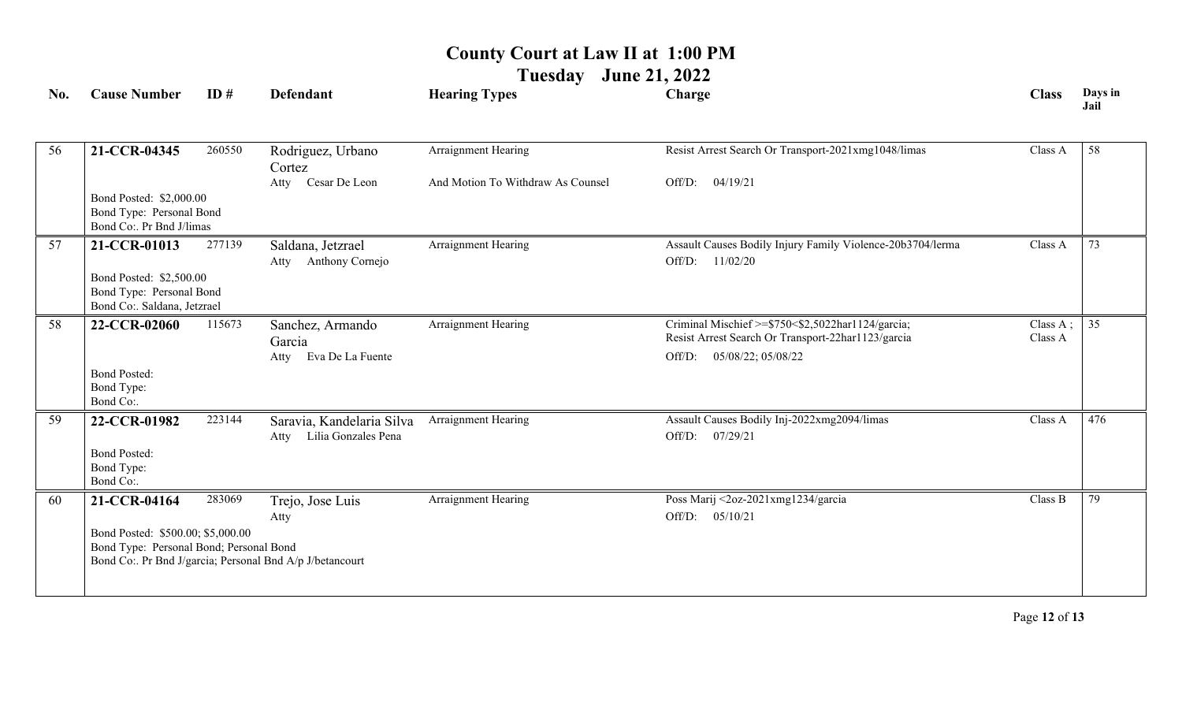**Tuesday June 21, 2022**

| No. | <b>Cause Number</b>                                                                | ID#    | <b>Defendant</b>                                         | <b>Hearing Types</b>              | Charge                                                                                                  | <b>Class</b>        | Days in<br>Jail |
|-----|------------------------------------------------------------------------------------|--------|----------------------------------------------------------|-----------------------------------|---------------------------------------------------------------------------------------------------------|---------------------|-----------------|
|     |                                                                                    |        |                                                          |                                   |                                                                                                         |                     |                 |
| 56  | 21-CCR-04345                                                                       | 260550 | Rodriguez, Urbano<br>Cortez                              | Arraignment Hearing               | Resist Arrest Search Or Transport-2021xmg1048/limas                                                     | Class A             | 58              |
|     |                                                                                    |        | Cesar De Leon<br>Atty                                    | And Motion To Withdraw As Counsel | 04/19/21<br>Off/D:                                                                                      |                     |                 |
|     | Bond Posted: \$2,000.00<br>Bond Type: Personal Bond<br>Bond Co:. Pr Bnd J/limas    |        |                                                          |                                   |                                                                                                         |                     |                 |
| 57  | 21-CCR-01013                                                                       | 277139 | Saldana, Jetzrael<br>Anthony Cornejo<br>Atty             | Arraignment Hearing               | Assault Causes Bodily Injury Family Violence-20b3704/lerma<br>Off/D:<br>11/02/20                        | Class A             | 73              |
|     | Bond Posted: \$2,500.00<br>Bond Type: Personal Bond<br>Bond Co:. Saldana, Jetzrael |        |                                                          |                                   |                                                                                                         |                     |                 |
| 58  | 22-CCR-02060                                                                       | 115673 | Sanchez, Armando<br>Garcia                               | Arraignment Hearing               | Criminal Mischief >=\$750<\$2,5022har1124/garcia;<br>Resist Arrest Search Or Transport-22har1123/garcia | Class A;<br>Class A | 35              |
|     | <b>Bond Posted:</b><br>Bond Type:<br>Bond Co:.                                     |        | Eva De La Fuente<br>Atty                                 |                                   | 05/08/22; 05/08/22<br>Off/D:                                                                            |                     |                 |
| 59  | 22-CCR-01982<br><b>Bond Posted:</b><br>Bond Type:                                  | 223144 | Saravia, Kandelaria Silva<br>Lilia Gonzales Pena<br>Atty | Arraignment Hearing               | Assault Causes Bodily Inj-2022xmg2094/limas<br>Off/D:<br>07/29/21                                       | Class A             | 476             |
|     | Bond Co:.                                                                          |        |                                                          |                                   |                                                                                                         |                     |                 |
| 60  | 21-CCR-04164<br>Bond Posted: \$500.00; \$5,000.00                                  | 283069 | Trejo, Jose Luis<br>Atty                                 | Arraignment Hearing               | Poss Marij <2oz-2021xmg1234/garcia<br>Off/D:<br>05/10/21                                                | Class B             | 79              |
|     | Bond Type: Personal Bond; Personal Bond                                            |        | Bond Co:. Pr Bnd J/garcia; Personal Bnd A/p J/betancourt |                                   |                                                                                                         |                     |                 |